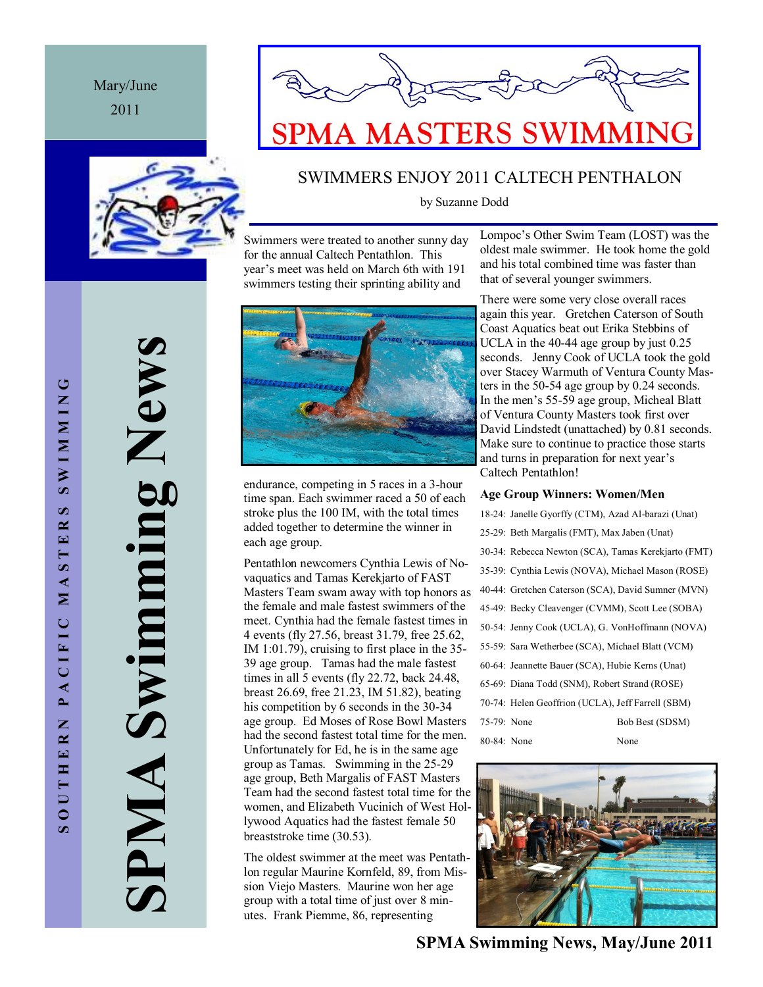## Mary/June 2011





## SWIMMERS ENJOY 2011 CALTECH PENTHALON

by Suzanne Dodd

Swimmers were treated to another sunny day for the annual Caltech Pentathlon. This year's meet was held on March 6th with 191 swimmers testing their sprinting ability and

Lompoc's Other Swim Team (LOST) was the oldest male swimmer. He took home the gold and his total combined time was faster than that of several younger swimmers.



endurance, competing in 5 races in a 3-hour time span. Each swimmer raced a 50 of each stroke plus the 100 IM, with the total times added together to determine the winner in each age group.

Pentathlon newcomers Cynthia Lewis of Novaquatics and Tamas Kerekjarto of FAST Masters Team swam away with top honors as the female and male fastest swimmers of the meet. Cynthia had the female fastest times in 4 events (fly 27.56, breast 31.79, free 25.62, IM 1:01.79), cruising to first place in the 35- 39 age group. Tamas had the male fastest times in all 5 events (fly 22.72, back 24.48, breast 26.69, free 21.23, IM 51.82), beating his competition by 6 seconds in the 30-34 age group. Ed Moses of Rose Bowl Masters had the second fastest total time for the men. Unfortunately for Ed, he is in the same age group as Tamas. Swimming in the 25-29 age group, Beth Margalis of FAST Masters Team had the second fastest total time for the women, and Elizabeth Vucinich of West Hollywood Aquatics had the fastest female 50 breaststroke time (30.53).

The oldest swimmer at the meet was Pentathlon regular Maurine Kornfeld, 89, from Mission Viejo Masters. Maurine won her age group with a total time of just over 8 minutes. Frank Piemme, 86, representing

There were some very close overall races again this year. Gretchen Caterson of South Coast Aquatics beat out Erika Stebbins of UCLA in the 40-44 age group by just 0.25 seconds. Jenny Cook of UCLA took the gold over Stacey Warmuth of Ventura County Masters in the 50-54 age group by 0.24 seconds. In the men's 55-59 age group, Micheal Blatt of Ventura County Masters took first over David Lindstedt (unattached) by 0.81 seconds. Make sure to continue to practice those starts and turns in preparation for next year's Caltech Pentathlon!

#### **Age Group Winners: Women/Men**

|             | 18-24: Janelle Gyorffy (CTM), Azad Al-barazi (Unat) |                 |
|-------------|-----------------------------------------------------|-----------------|
|             | 25-29: Beth Margalis (FMT), Max Jaben (Unat)        |                 |
|             | 30-34: Rebecca Newton (SCA), Tamas Kerekjarto (FMT) |                 |
|             | 35-39: Cynthia Lewis (NOVA), Michael Mason (ROSE)   |                 |
|             | 40-44: Gretchen Caterson (SCA), David Sumner (MVN)  |                 |
|             | 45-49: Becky Cleavenger (CVMM), Scott Lee (SOBA)    |                 |
|             | 50-54: Jenny Cook (UCLA), G. VonHoffmann (NOVA)     |                 |
|             | 55-59: Sara Wetherbee (SCA), Michael Blatt (VCM)    |                 |
|             | 60-64: Jeannette Bauer (SCA), Hubie Kerns (Unat)    |                 |
|             | 65-69: Diana Todd (SNM), Robert Strand (ROSE)       |                 |
|             | 70-74: Helen Geoffrion (UCLA), Jeff Farrell (SBM)   |                 |
| 75-79: None |                                                     | Bob Best (SDSM) |
| 80-84: None |                                                     | None            |



**SPMA Swimming News, May/June 2011**

**SPMA Swimming News** Swimming New SPMA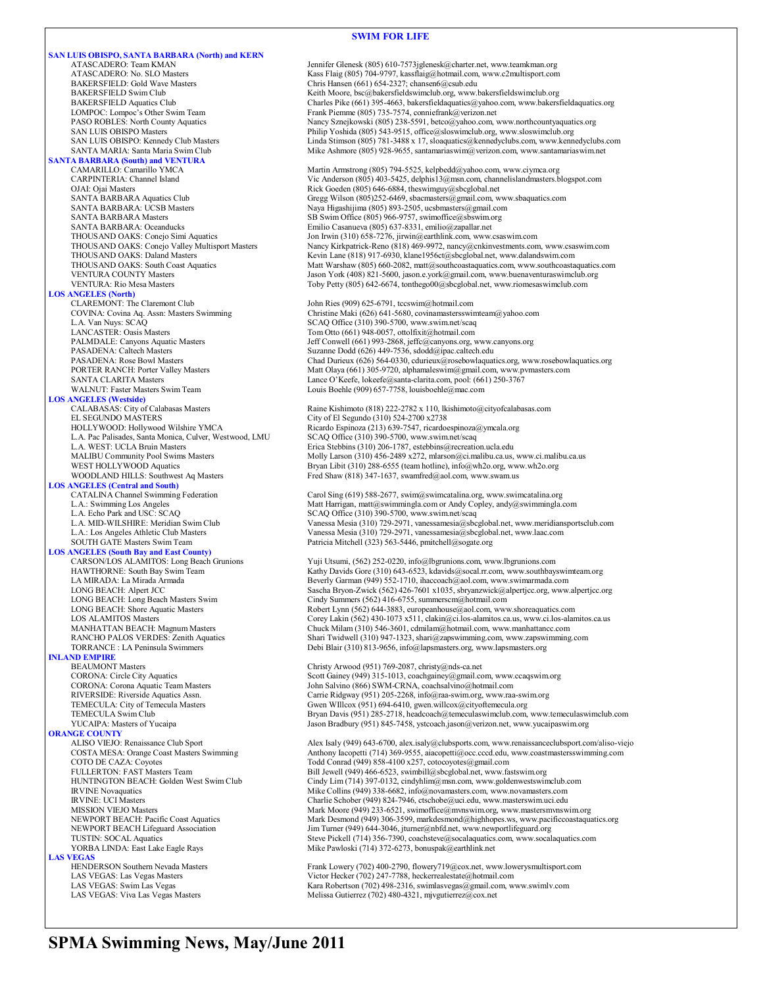#### **SWIM FOR LIFE**

**SAN LUIS OBISPO, SANTA BARBARA (North) and KERN** ATASCADERO: Team KMAN Jennifer Glenesk (805) 610-7573jglenesk@charter.net, www.teamkman.org ATASCADERO: No. SLO Masters Kass Flaig (805) 704-9797, kassflaig@hotmail.com, www.c2multisport.com BAKERSFIELD: Gold Wave Masters Chris Hansen (661) 654-2327; chansen 6@csub.edu<br>BAKERSFIELD Swim Club Chris Hansen Chris Hansen (661) 654-2327; chansen 6@csub.edu BAKERSFIELD Swim Club Keith Moore, bsc@bakersfieldswimclub.org, www.bakersfieldswimclub.org BAKERSFIELD Aquatics Club Charles Pike (661) 395-4663, bakersfieldaquatics@yahoo.com, www.bakersfieldaquatics.org LOMPOC: Lompoc's Other Swim Team Frank Piemme (805) 735-7574, conniefrank @verizon.net<br>
PASO ROBLES: North County Aquatics Namey Sznejkowski (805) 238-5591, betco@yahoo.com, PASO ROBLES: North County Aquatics Nancy Sznejkowski (805) 238-5591, betco@yahoo.com, www.northcountyaquatics.org<br>Philip Yoshida (805) 543-9515, office@sloswinclub.org, www.sloswinclub.org SAN LUIS OBISPO Masters **Philip Yoshida (805) 543-9515**, office@sloswimclub.org, www.sloswimclub.org<br>Philip Yoshida (805) 781-3488 x 17, sloaquatics@kennedyclubs.com, www.kenn **SANTA BARBARA (South) and VENTURA** CARPINTERIA: Channel Island Vic Anderson (805) 403-5425, delphis13@msn.com, channelislandmasters.blogspot.com OJAI: Ojai Masters The Theory of The Rick Goeden (805) 646-6884, theswimguy@sbcglobal.net<br>
SANTA BARBARA Aquatics Club<br>
Gregg Wilson (805)252-6469, sbacmasters@gmail.com, w SANTA BARBARA Aquatics Club Gregg Wilson (805)252-6469, sbacmasters@gmail.com, www.sbaquatics.com<br>SANTA BARBARA: UCSB Masters Mass and Maya Higashijima (805) 893-2505, ucsbmasters@gmail.com SANTA BARBARA: UCSB Masters Naya Higashijima (805) 893-2505, ucsbmasters@gmail.com<br>SANTA BARBARA Masters SANTA SES Swim Office (805) 966-9757, swimoffice@sbswim.org SANTA BARBARA Masters SB Swim Office (805) 966-9757, swimoffice@sbswim.org<br>SANTA BARBARA: Oceanducks Emilio Casanueva (805) 637-8331, emilio@zapallar.net SANTA BARBARA: Oceanducks Emilio Casanueva (805) 637-8331, emilio@zapallar.net THOUSAND OAKS: Conejo Simi Aquatics Jon Irwin (310) 658-7276, jirwin@earthlink.com, www.csaswim.com<br>THOUSAND OAKS: Conejo Valley Multisport Masters Nancy Kirkpatrick-Reno (818) 469-9972, nancy@enkinvestments.com THOUSAND OAKS: Daland Masters Kevin Lane (818) 917-6930, klane1956ct@sbcglobal.net, www.dalandswim.com<br>THOUSAND OAKS: South Coast Aquatics Matt Warshaw (805) 660-2082, matt@southcoastaquatics.com, www.southcoasta VENTURA COUNTY Masters Jason York (408) 821-5600, jason.e.york@gmail.com, www.buenaventuraswimclub.org VENTURA: Rio Mesa Masters Toby Petty (805) 642-6674, tonthego00@sbcglobal.net, www.riomesaswimclub.com **LOS ANGELES (North)** CLAREMONT: The Claremont Club John Ries (909) 625-6791, tccswim@hotmail.com<br>COVINA: Covina Aq. Assn: Masters Swimming Christine Maki (626) 641-5680, covinamastersswi COVINA: Covina Aq. Assn: Masters Swimming Christine Maki (626) 641-5680, covinamastersswimteam@yahoo.com L.A. Van Nuys: SCAQ Office (310) 390-5700, www.swim.net/scaq<br>
LANCASTER: Oasis Masters
SCAQ Office (310) 390-5700, www.swim.net/scaq LANCASTER: Oasis Masters Tom Otto (661) 948-0057, ottolfixit@hotmail.com<br>
PALMDALE: Canyons Aquatic Masters Tom Masters Jeff Conwell (661) 993-2868, jeffc@canyons.org, PALMDALE: Canyons Aquatic Masters Jeff Conwell (661) 993-2868, jeffc@canyons.org, www.canyons.org<br>PASADENA: Caltech Masters Jeff Conwell (661) 993-2868, jeffc@canyons.org, www.canyons.org PASADENA: Caltech Masters Suzanne Dodd (626) 449-7536, sdodd@ipac.caltech.edu<br>PASADENA: Rose Bowl Masters Chad Durieux (626) 564-0330, cdurieux@rosebowlaqua PORTER RANCH: Porter Valley Masters Matt Olaya (661) 305-9720, alphamaleswim@gmail.com, www.pvmasters.com SANTA CLARITA Masters Lance O'Keefe, lokeefe@santa-clarita.com, pool: (661) 250-3767 WALNUT: Faster Masters Swim Team Louis Boehle (909) 657-7758, louisboehle@mac.com **LOS ANGELES (Westside)** CALABASAS: City of Calabasas Masters Raine Kishimoto (818) 222-2782 x 110, lkishimoto@cityofcalabasas.com<br>EL SEGUNDO MASTERS City of El Segundo (310) 524-2700 x2738 EL SEGUNDO MASTERS<br>
HOLLYWOOD: Hollywood Wilshire YMCA<br>
Ricardo Espinoza (213) 639-7547, ricardo L.A. Pac Palisades, Santa Monica, Culver, Westwood, LMU L.A. WEST: UCLA Bruin Masters L.A. WEST: UCLA Bruin Masters **Existence 2008** Erica Stebbins (310) 206-1787, estebbins @recreation.ucla.edu<br>MALIBU Community Pool Swims Masters **Existence 2008** Molly Larson (310) 456-2489 x272, mlarson@ci.malibu.ca.us, MALIBU Community Pool Swims Masters Molly Larson (310) 456-2489 x272, mlarson@ci.malibu.ca.us, www.ci.malibu.ca.us<br>WEST HOLLYWOOD Aquatics Bryan Libit (310) 288-6555 (team hotline), info@wh2o.org, www.wh2o.org WOODLAND HILLS: Southwest Aq Masters Fred Shaw (818) 347-1637, swamfred@aol.com, www.swam.us **LOS ANGELES (Central and South)** CATALINA Channel Swimming Federation Carol Sing (619) 588-2677, swim@swimcatalina.org, www.swimcatalina.org<br>Carolynaming Los Angeles Matter of Matt Harrigan, matt@swimmingla.com or Andy Copley, andy@swimmingla.com L.A. Echo Park and USC: SCAQ<br>
L.A. MID-WILSHIRE: Meridian Swim Club<br>
L.A. MID-WILSHIRE: Meridian Swim Club<br>
Vanessa Mesia (310) 729-2971, vanessamesia@sbc L.A.: Los Angeles Athletic Club Masters Vanessa Mesia (310) 729-2971, vanessamesia@sbcglobal.net, www.laac.com<br>SOUTH GATE Masters Swim Team Patricia Mitchell (323) 563-5446, pmitchell@sogate.org **LOS ANGELES (South Bay and East County)** HAWTHORNE: South Bay Swim Team Kathy Davids Gore (310) 643-6523, kdavids@socal.rr.com, www.southbayswimteam.org<br>LA MIRADA: La Mirada Armada LONG BEACH: Long Beach Masters Swim Cindy Summers (562) 416-6755, summerscm@hotmail.com<br>
LONG BEACH: Shore Aquatic Masters Companies (562) 644-3883, europeanhouse@aol.com, www LONG BEACH: Shore Aquatic Masters Robert Lynn (562) 644-3883, europeanhouse@aol.com, www.shoreaquatics.com<br>
LOS ALAMITOS Masters Corey Lakin (562) 430-1073 x511, clakin@ci.los-alamitos.ca.us, www.ci.los-alam MANHATTAN BEACH: Magnum Masters Chuck Milam (310) 546-3601, cdmilam@hotmail.com, www.manhattancc.com<br>RANCHO PALOS VERDES: Zenith Aquatics Shari Twidwell (310) 947-1323, shari@zapswimming.com, www.zapswimming RANCHO PALOS VERDES: Zenith Aquatics Shari Twidwell (310) 947-1323, shari@zapswimming.com, www.zapswimming.com<br>TORRANCE : LA Peninsula Swimmers Debi Blair (310) 813-9656, info@lapsmasters.org, www.lapsmasters.org **INLAND EMPIRE**<br>BEAUMONT Masters BEAUMONT Masters Christy Arwood (951) 769-2087, christy@nds-ca.net<br>CORONA: Circle City Aquatics Coronal Scott Gainey (949) 315-1013, coachgainey@gmail.co CORONA: Corona Aquatic Team Masters John Salvino (866) SWM-CRNA, coachsalvino@hotmail.com<br>RIVERSIDE: Riverside Aquatics Assn. Carrie Ridgway (951) 205-2268, info@raa-swim.org, www.raa RIVERSIDE: Riverside Aquatics Assn.<br>TEMECULA: City of Temecula Masters **Carrie Ridgway (951) 205-2268**, info@raa-swim.org, www.raa-swim.org<br>Gwen WIllcox (951) 694-6410, gwen.willcox@cityoftemecula.org YUCAIPA: Masters of Yucaipa Jason Bradbury (951) 845-7458, ystcoach.jason@verizon.net, www.yucaipaswim.org **ORANGE COUNTY**<br>ALISO VIEJO: Renaissance Club Sport COTO DE CAZA: Coyotes Community Contract (949) 858-4100 x257, cotocoyotes@gmail.com<br>FULLERTON: FAST Masters Team Bill Jewell (949) 466-6523, swimbill@sbcglobal.net, www.fa HUNTINGTON BEACH: Golden West Swim Club Cindy Lim (714) 397-0132, cindyhlim@msn.com, www.goldenwestswimclub.com IRVINE Novaquatics Mike Collins (949) 338-6682, info@novamasters.com, www.novamasters.com<br>IRVINE: UCI Masters<br>Charlie Schober (949) 824-7946, ctschobe@uci.edu, www.masters.wim.uci.edu IRVINE: UCI Masters<br>
IRVINE: UCI Masters Charlie Schober (949) 824-7946, ctschobe@uci.edu, www.masterswim.uci.edu<br>
Mark Moore (949) 233-6521, swimoffice@mvnswim.org, www.mastersmvnsw MISSION VIEJO Masters Mark Moore (949) 233-6521, swimoffice@mvnswim.org, www.mastersmvnswim.org<br>Mark Desmond (949) 306-3599, markdesmond@highhopes.ws, www.pacificcoastaqua NEWPORT BEACH Lifeguard Association Jim Turner (949) 644-3046, jturner@nbfd.net, www.newportlifeguard.org<br>TUSTIN: SOCAL Aquatics TUSTIN: SOCAL Aquatics<br>
YORBA LINDA: East Lake Eagle Rays Mike Pawloski (714) 372-6273, bonuspak@earthlink.net Mike Pawloski (714) 372-6273, bonuspak@earthlink.net **LAS VEGAS**<br> **HENDERSON Southern Nevada Masters** HENDERSON Southern Nevada Masters Frank Lowery (702) 400-2790, flowery 19@cox.net, www.lowerysmultisport.com<br>
LAS VEGAS: Las Vegas Masters Frank Lowery (702) 247-7788, heckerrealestate@hotmail.com LAS VEGAS: Las Vegas Masters Victor Hecker (702) 247-7788, heckerrealestate@hotmail.com<br>
LAS VEGAS: Swim Las Vegas Kara Robertson (702) 2498-2316, swimlasvegas@gmail.com, w

SAN LUIS OBISPO: Kennedy Club Masters Linda Stimson (805) 781-3488 x 17, sloaquatics@kennedyclubs.com, www.kennedyclubs.com<br>SANTA MARIA: Santa Maria Swim Club Mike Ashmore (805) 928-9655, santamariaswim@verizon.com, www.sa Mike Ashmore (805) 928-9655, santamariaswim@verizon.com, www.santamariaswim.net Martin Armstrong (805) 794-5525, kelpbedd@yahoo.com, www.ciymca.org THOUSAND OAKS: Conejo Valley Multisport Masters Nancy Kirkpatrick-Reno (818) 469-9972, nancy@cnkinvestments.com, www.csaswim.com<br>THOUSAND OAKS: Daland Masters Kevin Lane (818) 917-6930, klane1956ct@sbcglobal.net, www.dalan Matt Warshaw (805) 660-2082, matt@southcoastaquatics.com, www.southcoastaquatics.com Chad Durieux (626) 564-0330, cdurieux@rosebowlaquatics.org, www.rosebowlaquatics.org Ricardo Espinoza (213) 639-7547, ricardoespinoza@ymcala.org<br>SCAQ Office (310) 390-5700, www.swim.net/scaq Bryan Libit (310) 288-6555 (team hotline), info@wh2o.org, www.wh2o.org L.A. MID-WILSHIRE: Meridian Swim Club Vanessa Mesia (310) 729-2971, vanessamesia@sbcglobal.net, www.meridiansportsclub.com<br>L.A.: Los Angeles Athletic Club Masters Vanessamesia (310) 729-2971, vanessamesia@sbcglobal.net, ww Patricia Mitchell (323) 563-5446, pmitchell@sogate.org Yuji Utsumi, (562) 252-0220, info@lbgrunions.com, www.lbgrunions.com LA MIRADA: La Mirada Armada Beverly Garman (949) 552-1710, ihaccoach@aol.com, www.swimarmada.com LONG BEACH: Alpert JCC Sascha Bryon-Zwick (562) 426-7601 x1035, sbryanzwick@alpertjcc.org, www.alpertjcc.org LOS ALAMITOS Masters Corey Lakin (562) 430-1073 x511, clakin@ci.los-alamitos.ca.us, www.ci.los-alamitos.ca.us<br>MANHATTAN BEACH: Magnum Masters Chuck Milam (310) 546-3601, cdmilam@hotmail.com, www.manhattance.com Debi Blair (310) 813-9656, info@lapsmasters.org, www.lapsmasters.org Scott Gainey (949) 315-1013, coachgainey@gmail.com, www.ccaqswim.org TEMECULA: City of Temecula Masters Gwen WIllcox (951) 694-6410, gwen.willcox@cityoftemecula.org<br>TEMECULA Swim Club Gub Bryan Davis (951) 285-2718, headcoach@temeculaswimclub.com, www.temeculaswimclub.com ALISO VIEJO: Renaissance Club Sport Alex Isaly (949) 643-6700, alex.isaly@clubsports.com, www.renaissanceclubsport.com/aliso-viejo<br>COSTA MESA: Orange Coast Masters Swimming Anthony Iacopetti (714) 369-9555, aiacopetti@occ. Anthony Iacopetti (714) 369-9555, aiacopetti@occ.cccd.edu, www.coastmastersswimming.com Bill Jewell (949) 466-6523, swimbill@sbcglobal.net, www.fastswim.org NEWPORT BEACH: Pacific Coast Aquatics Mark Desmond (949) 306-3599, markdesmond@highhopes.ws, www.pacificcoastaquatics.org<br>Mark Desmond (949) 644-3046, jturner@nbfd.net, www.newportlifeguard.org MEARON DEWPORT BEACH Lifegua

LAS VEGAS: Swim Las Vegas 
Kara Robertson (702) 498-2316, swimlasvegas@gmail.com, www.swimly.com<br>
LAS VEGAS: Viva Las Vegas Masters

Melissa Gutierrez (702) 480-4321. nivgutierrez@cox.net Melissa Gutierrez (702) 480-4321, mjvgutierrez@cox.net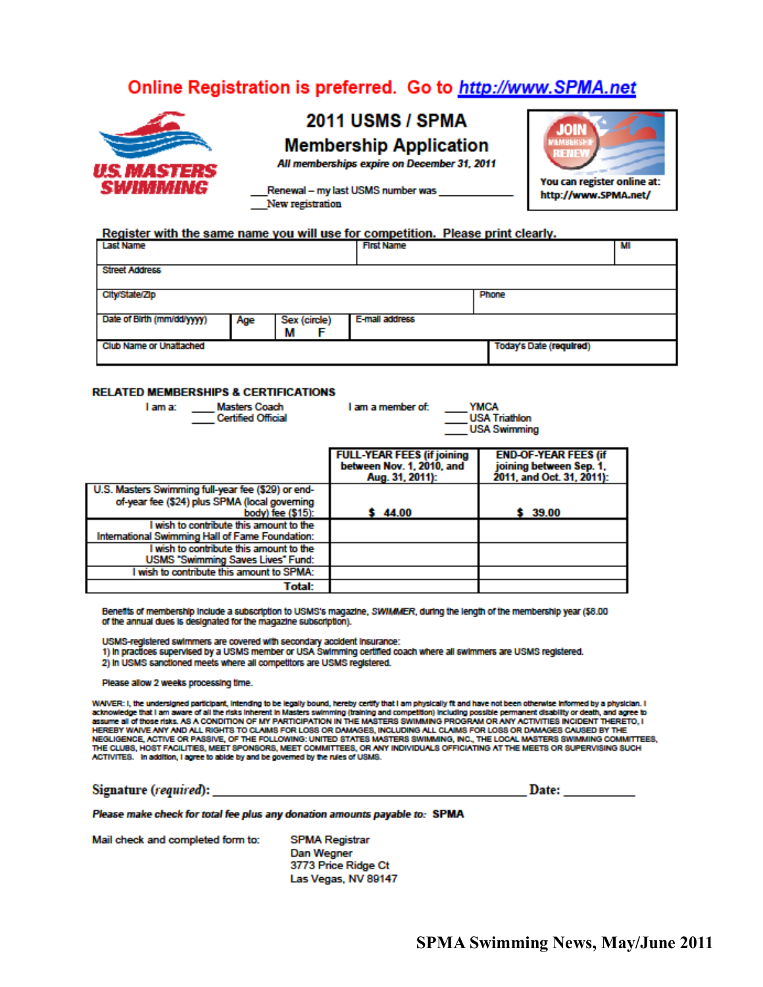## Online Registration is preferred. Go to http://www.SPMA.net



# **2011 USMS / SPMA**

**Membership Application** 

All memberships expire on December 31, 2011

JOIN a a z You can register online at: http://www.SPMA.net/

Renewal - my last USMS number was New registration

#### Register with the same name you will use for competition. Please print clearly.

| <b>Last Name</b>               |     |                   | <b>First Name</b> |                         | MI |
|--------------------------------|-----|-------------------|-------------------|-------------------------|----|
| <b>Street Address</b>          |     |                   |                   |                         |    |
| City/State/Zip                 |     |                   |                   | Phone                   |    |
| Date of Birth (mm/dd/yyyy)     | Age | Sex (circle)<br>М | E-mail address    |                         |    |
| <b>Club Name or Unattached</b> |     |                   |                   | Today's Date (required) |    |

#### **RELATED MEMBERSHIPS & CERTIFICATIONS**

| <b>Masters Coach</b><br>I am a:<br><b>Certified Official</b>                               | I am a member of:                            | <b>YMCA</b><br><b>USA Triathlon</b><br><b>USA Swimming</b> |
|--------------------------------------------------------------------------------------------|----------------------------------------------|------------------------------------------------------------|
|                                                                                            | <b>FULL-YEAR FEES (if joining)</b>           | <b>END-OF-YEAR FEES (if</b>                                |
|                                                                                            | between Nov. 1, 2010, and<br>Aug. 31, 2011): | joining between Sep. 1.<br>2011, and Oct. 31, 2011):       |
| U.S. Masters Swimming full-year fee (\$29) or end-                                         |                                              |                                                            |
| of-year fee (\$24) plus SPMA (local governing<br>body) fee (\$15):                         | 44.00                                        | 39.00                                                      |
| I wish to contribute this amount to the<br>International Swimming Hall of Fame Foundation: |                                              |                                                            |
| I wish to contribute this amount to the<br>USMS "Swimming Saves Lives" Fund:               |                                              |                                                            |
| wish to contribute this amount to SPMA:                                                    |                                              |                                                            |
| Total:                                                                                     |                                              |                                                            |

Benefits of membership include a subscription to USMS's magazine, SWIMMER, during the length of the membership year (\$8.00 of the annual dues is designated for the magazine subscription).

USMS-registered swimmers are covered with secondary accident insurance:

1) In practices supervised by a USMS member or USA Swimming certified coach where all swimmers are USMS registered.

2) In USMS sanctioned meets where all competitors are USMS registered.

Please allow 2 weeks processing time.

WAIVER: I, the undersigned participant, intending to be legally bound, hereby certify that I am physically fit and have not been otherwise informed by a physician. I<br>acknowledge that I am aware of all the risks inherent in HEREBY WAIVE ANY AND ALL RIGHTS TO CLAIMS FOR LOSS OR DAMAGES, INCLUDING ALL CLAIMS FOR LOSS OR DAMAGES CAUSED BY THE NEGLIGENCE, ACTIVE OR PASSIVE, OF THE FOLLOWING: UNITED STATES MASTERS SWIMMING, INC., THE LOCAL MASTERS SWIMMING COMMITTEES,<br>THE CLUBS, HOST FACILITIES, MEET SPONSORS, MEET COMMITTEES, OR ANY INDIVIDUALS OFFICIATING AT TH ACTIVITES. In addition, I agree to abide by and be governed by the rules of USMS.

Signature (required):

Date:

Please make check for total fee plus any donation amounts payable to: SPMA

Mail check and completed form to:

**SPMA Registrar** Dan Wegner 3773 Price Ridge Ct Las Vegas, NV 89147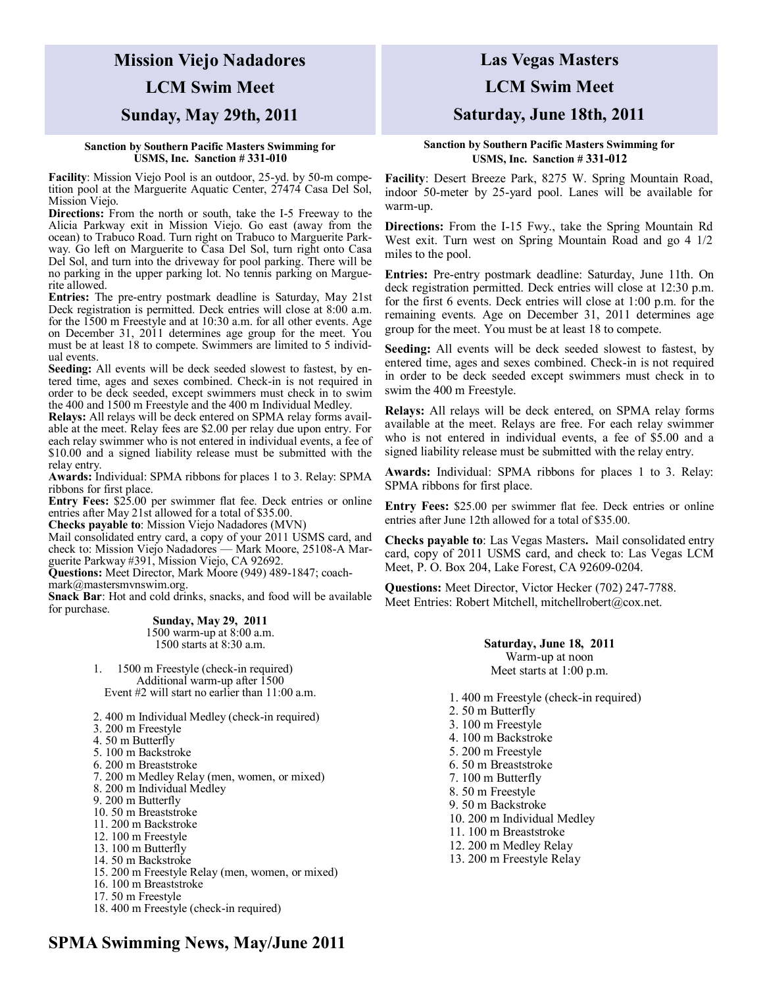# **Mission Viejo Nadadores LCM Swim Meet Sunday, May 29th, 2011**

#### **Sanction by Southern Pacific Masters Swimming for USMS, Inc. Sanction # 331-010**

**Facility**: Mission Viejo Pool is an outdoor, 25-yd. by 50-m competition pool at the Marguerite Aquatic Center, 27474 Casa Del Sol, Mission Viejo.

**Directions:** From the north or south, take the I-5 Freeway to the Alicia Parkway exit in Mission Viejo. Go east (away from the ocean) to Trabuco Road. Turn right on Trabuco to Marguerite Parkway. Go left on Marguerite to Casa Del Sol, turn right onto Casa Del Sol, and turn into the driveway for pool parking. There will be no parking in the upper parking lot. No tennis parking on Marguerite allowed.

**Entries:** The pre-entry postmark deadline is Saturday, May 21st Deck registration is permitted. Deck entries will close at 8:00 a.m. for the 1500 m Freestyle and at 10:30 a.m. for all other events. Age on December 31, 2011 determines age group for the meet. You must be at least 18 to compete. Swimmers are limited to 5 individual events.

**Seeding:** All events will be deck seeded slowest to fastest, by entered time, ages and sexes combined. Check-in is not required in order to be deck seeded, except swimmers must check in to swim the 400 and 1500 m Freestyle and the 400 m Individual Medley.

**Relays:** All relays will be deck entered on SPMA relay forms available at the meet. Relay fees are \$2.00 per relay due upon entry. For each relay swimmer who is not entered in individual events, a fee of \$10.00 and a signed liability release must be submitted with the relay entry.

**Awards:** Individual: SPMA ribbons for places 1 to 3. Relay: SPMA ribbons for first place.

**Entry Fees:** \$25.00 per swimmer flat fee. Deck entries or online entries after May 21st allowed for a total of \$35.00.

**Checks payable to**: Mission Viejo Nadadores (MVN)

Mail consolidated entry card, a copy of your 2011 USMS card, and check to: Mission Viejo Nadadores — Mark Moore, 25108-A Marguerite Parkway #391, Mission Viejo, CA 92692.

**Questions:** Meet Director, Mark Moore (949) 489-1847; coachmark@mastersmvnswim.org.

**Snack Bar**: Hot and cold drinks, snacks, and food will be available for purchase.

> **Sunday, May 29, 2011** 1500 warm-up at 8:00 a.m. 1500 starts at 8:30 a.m.

1. 1500 m Freestyle (check-in required) Additional warm-up after 1500 Event #2 will start no earlier than 11:00 a.m.

2. 400 m Individual Medley (check-in required)

- 3. 200 m Freestyle
- 4. 50 m Butterfly
- 5. 100 m Backstroke
- 6. 200 m Breaststroke
- 7. 200 m Medley Relay (men, women, or mixed)
- 8. 200 m Individual Medley
- 9. 200 m Butterfly
- 10. 50 m Breaststroke
- 11. 200 m Backstroke
- 12. 100 m Freestyle
- 13. 100 m Butterfly
- 14. 50 m Backstroke
- 15. 200 m Freestyle Relay (men, women, or mixed)
- 16. 100 m Breaststroke
- 17. 50 m Freestyle
- 18. 400 m Freestyle (check-in required)

## **Las Vegas Masters**

### **LCM Swim Meet**

### **Saturday, June 18th, 2011**

**Sanction by Southern Pacific Masters Swimming for USMS, Inc. Sanction # 331-012**

**Facility**: Desert Breeze Park, 8275 W. Spring Mountain Road, indoor 50-meter by 25-yard pool. Lanes will be available for warm-up.

**Directions:** From the I-15 Fwy., take the Spring Mountain Rd West exit. Turn west on Spring Mountain Road and go 4 1/2 miles to the pool.

**Entries:** Pre-entry postmark deadline: Saturday, June 11th. On deck registration permitted. Deck entries will close at 12:30 p.m. for the first 6 events. Deck entries will close at 1:00 p.m. for the remaining events. Age on December 31, 2011 determines age group for the meet. You must be at least 18 to compete.

**Seeding:** All events will be deck seeded slowest to fastest, by entered time, ages and sexes combined. Check-in is not required in order to be deck seeded except swimmers must check in to swim the 400 m Freestyle.

**Relays:** All relays will be deck entered, on SPMA relay forms available at the meet. Relays are free. For each relay swimmer who is not entered in individual events, a fee of \$5.00 and a signed liability release must be submitted with the relay entry.

**Awards:** Individual: SPMA ribbons for places 1 to 3. Relay: SPMA ribbons for first place.

**Entry Fees:** \$25.00 per swimmer flat fee. Deck entries or online entries after June 12th allowed for a total of \$35.00.

**Checks payable to**: Las Vegas Masters**.** Mail consolidated entry card, copy of 2011 USMS card, and check to: Las Vegas LCM Meet, P. O. Box 204, Lake Forest, CA 92609-0204.

**Questions:** Meet Director, Victor Hecker (702) 247-7788. Meet Entries: Robert Mitchell, mitchellrobert@cox.net.

> **Saturday, June 18, 2011** Warm-up at noon Meet starts at 1:00 p.m.

- 1. 400 m Freestyle (check-in required)
- 2. 50 m Butterfly
- 3. 100 m Freestyle
- 4. 100 m Backstroke
- 5. 200 m Freestyle
- 6. 50 m Breaststroke
- 7. 100 m Butterfly
- 8. 50 m Freestyle
- 9. 50 m Backstroke
- 10. 200 m Individual Medley
- 11. 100 m Breaststroke
- 12. 200 m Medley Relay
- 13. 200 m Freestyle Relay

**SPMA Swimming News, May/June 2011**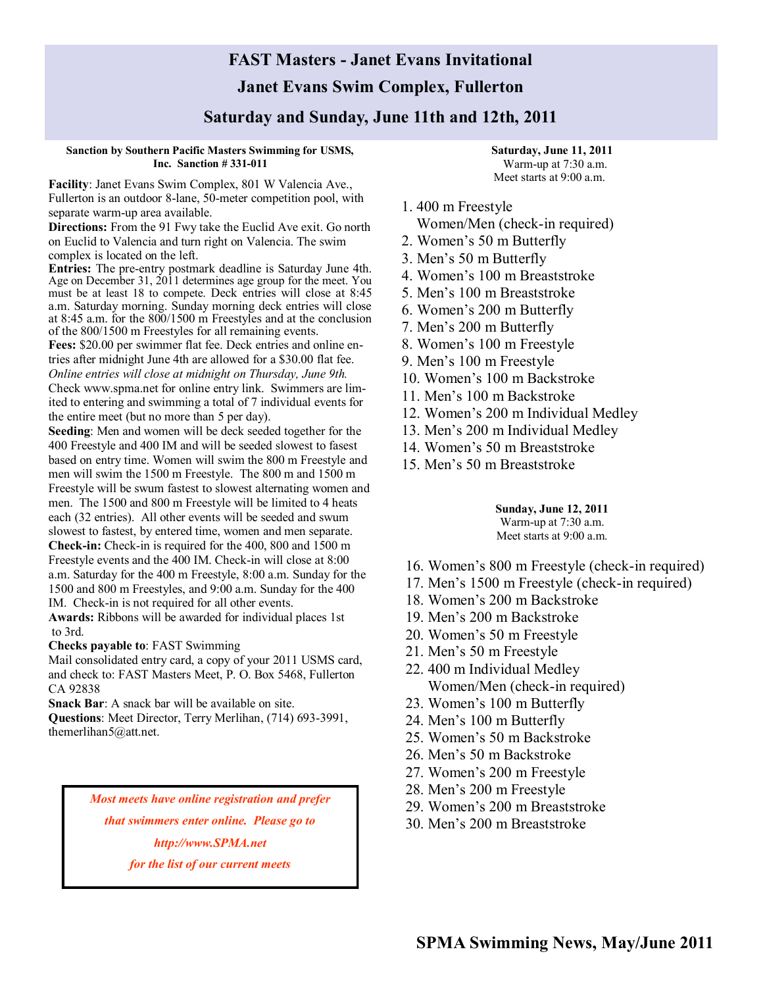## **FAST Masters - Janet Evans Invitational Janet Evans Swim Complex, Fullerton**

## **Saturday and Sunday, June 11th and 12th, 2011**

#### **Sanction by Southern Pacific Masters Swimming for USMS, Inc. Sanction # 331-011**

**Facility**: Janet Evans Swim Complex, 801 W Valencia Ave., Fullerton is an outdoor 8-lane, 50-meter competition pool, with separate warm-up area available.

**Directions:** From the 91 Fwy take the Euclid Ave exit. Go north on Euclid to Valencia and turn right on Valencia. The swim complex is located on the left.

**Entries:** The pre-entry postmark deadline is Saturday June 4th. Age on December 31, 2011 determines age group for the meet. You must be at least 18 to compete. Deck entries will close at 8:45 a.m. Saturday morning. Sunday morning deck entries will close at 8:45 a.m. for the 800/1500 m Freestyles and at the conclusion of the 800/1500 m Freestyles for all remaining events.

**Fees:** \$20.00 per swimmer flat fee. Deck entries and online entries after midnight June 4th are allowed for a \$30.00 flat fee. *Online entries will close at midnight on Thursday, June 9th.*

Check www.spma.net for online entry link. Swimmers are limited to entering and swimming a total of 7 individual events for the entire meet (but no more than 5 per day).

**Seeding**: Men and women will be deck seeded together for the 400 Freestyle and 400 IM and will be seeded slowest to fasest based on entry time. Women will swim the 800 m Freestyle and men will swim the 1500 m Freestyle. The 800 m and 1500 m Freestyle will be swum fastest to slowest alternating women and men. The 1500 and 800 m Freestyle will be limited to 4 heats each (32 entries). All other events will be seeded and swum slowest to fastest, by entered time, women and men separate. **Check-in:** Check-in is required for the 400, 800 and 1500 m Freestyle events and the 400 IM. Check-in will close at 8:00 a.m. Saturday for the 400 m Freestyle, 8:00 a.m. Sunday for the 1500 and 800 m Freestyles, and 9:00 a.m. Sunday for the 400 IM. Check-in is not required for all other events.

**Awards:** Ribbons will be awarded for individual places 1st to 3rd.

**Checks payable to**: FAST Swimming

Mail consolidated entry card, a copy of your 2011 USMS card, and check to: FAST Masters Meet, P. O. Box 5468, Fullerton CA 92838

**Snack Bar**: A snack bar will be available on site.

**Questions**: Meet Director, Terry Merlihan, (714) 693-3991, themerlihan5@att.net.

> *Most meets have online registration and prefer that swimmers enter online. Please go to http://www.SPMA.net for the list of our current meets*

**Saturday, June 11, 2011** Warm-up at 7:30 a.m. Meet starts at 9:00 a.m.

### 1. 400 m Freestyle

Women/Men (check-in required)

- 2. Women's 50 m Butterfly
- 3. Men's 50 m Butterfly
- 4. Women's 100 m Breaststroke
- 5. Men's 100 m Breaststroke
- 6. Women's 200 m Butterfly
- 7. Men's 200 m Butterfly
- 8. Women's 100 m Freestyle
- 9. Men's 100 m Freestyle
- 10. Women's 100 m Backstroke
- 11. Men's 100 m Backstroke
- 12. Women's 200 m Individual Medley
- 13. Men's 200 m Individual Medley
- 14. Women's 50 m Breaststroke
- 15. Men's 50 m Breaststroke

#### **Sunday, June 12, 2011**

Warm-up at 7:30 a.m.

Meet starts at 9:00 a.m.

- 16. Women's 800 m Freestyle (check-in required)
- 17. Men's 1500 m Freestyle (check-in required)
- 18. Women's 200 m Backstroke
- 19. Men's 200 m Backstroke
- 20. Women's 50 m Freestyle
- 21. Men's 50 m Freestyle
- 22. 400 m Individual Medley Women/Men (check-in required)
- 23. Women's 100 m Butterfly
- 24. Men's 100 m Butterfly
- 25. Women's 50 m Backstroke
- 26. Men's 50 m Backstroke
- 27. Women's 200 m Freestyle
- 28. Men's 200 m Freestyle
- 29. Women's 200 m Breaststroke
- 30. Men's 200 m Breaststroke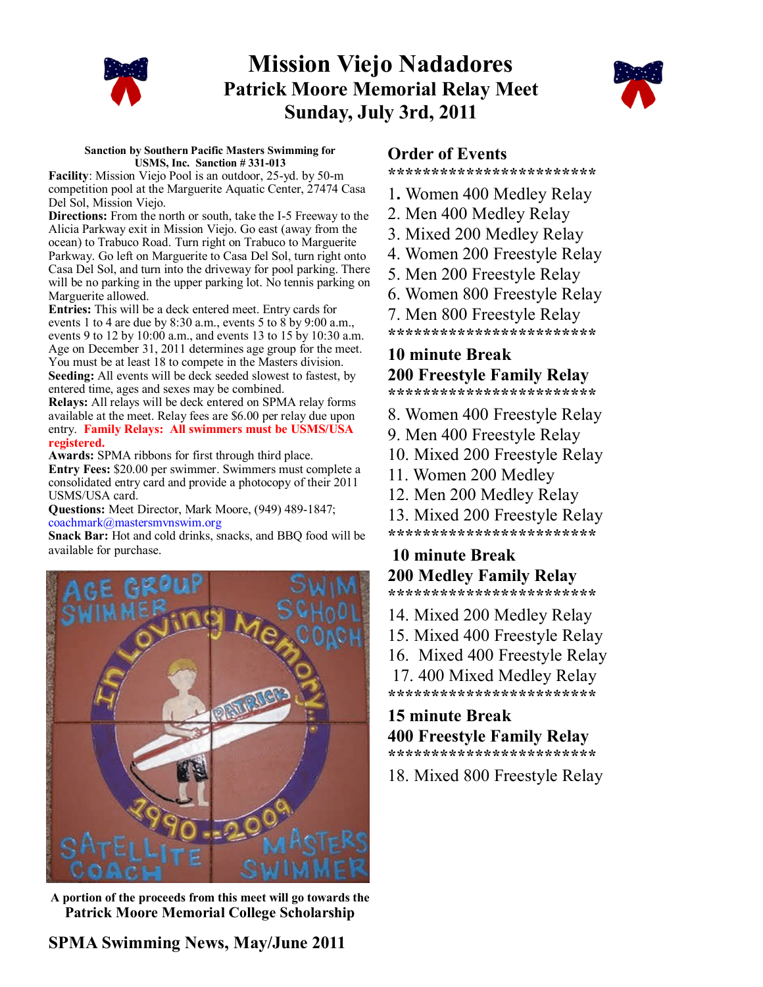

# **Mission Viejo Nadadores Patrick Moore Memorial Relay Meet Sunday, July 3rd, 2011**



#### **Sanction by Southern Pacific Masters Swimming for USMS, Inc. Sanction # 331-013**

**Facility**: Mission Viejo Pool is an outdoor, 25-yd. by 50-m competition pool at the Marguerite Aquatic Center, 27474 Casa Del Sol, Mission Viejo.

**Directions:** From the north or south, take the I-5 Freeway to the Alicia Parkway exit in Mission Viejo. Go east (away from the ocean) to Trabuco Road. Turn right on Trabuco to Marguerite Parkway. Go left on Marguerite to Casa Del Sol, turn right onto Casa Del Sol, and turn into the driveway for pool parking. There will be no parking in the upper parking lot. No tennis parking on Marguerite allowed.

**Entries:** This will be a deck entered meet. Entry cards for events 1 to 4 are due by 8:30 a.m., events 5 to 8 by 9:00 a.m., events 9 to 12 by 10:00 a.m., and events 13 to 15 by 10:30 a.m. Age on December 31, 2011 determines age group for the meet. You must be at least 18 to compete in the Masters division. **Seeding:** All events will be deck seeded slowest to fastest, by

entered time, ages and sexes may be combined. **Relays:** All relays will be deck entered on SPMA relay forms available at the meet. Relay fees are \$6.00 per relay due upon entry. **Family Relays: All swimmers must be USMS/USA registered.**

**Awards:** SPMA ribbons for first through third place.

**Entry Fees:** \$20.00 per swimmer. Swimmers must complete a consolidated entry card and provide a photocopy of their 2011 USMS/USA card.

**Questions:** Meet Director, Mark Moore, (949) 489-1847; [coachmark@mastersmvnswim.org](mailto:coachmark@mastersmvnswim.org)

**Snack Bar:** Hot and cold drinks, snacks, and BBQ food will be available for purchase.



**A portion of the proceeds from this meet will go towards the Patrick Moore Memorial College Scholarship** 

## **Order of Events**

**\*\*\*\*\*\*\*\*\*\*\*\*\*\*\*\*\*\*\*\*\*\*\*\*** 

- 1**.** Women 400 Medley Relay
- 2. Men 400 Medley Relay
- 3. Mixed 200 Medley Relay
- 4. Women 200 Freestyle Relay
- 5. Men 200 Freestyle Relay
- 6. Women 800 Freestyle Relay
- 7. Men 800 Freestyle Relay
- **\*\*\*\*\*\*\*\*\*\*\*\*\*\*\*\*\*\*\*\*\*\*\*\***

## **10 minute Break 200 Freestyle Family Relay**

**\*\*\*\*\*\*\*\*\*\*\*\*\*\*\*\*\*\*\*\*\*\*\*\***

- 8. Women 400 Freestyle Relay
- 9. Men 400 Freestyle Relay
- 10. Mixed 200 Freestyle Relay
- 11. Women 200 Medley
- 12. Men 200 Medley Relay
- 13. Mixed 200 Freestyle Relay
- **\*\*\*\*\*\*\*\*\*\*\*\*\*\*\*\*\*\*\*\*\*\*\*\***

## **10 minute Break 200 Medley Family Relay \*\*\*\*\*\*\*\*\*\*\*\*\*\*\*\*\*\*\*\*\*\*\*\***

- 14. Mixed 200 Medley Relay
- 15. Mixed 400 Freestyle Relay
- 16. Mixed 400 Freestyle Relay
- 17. 400 Mixed Medley Relay

**\*\*\*\*\*\*\*\*\*\*\*\*\*\*\*\*\*\*\*\*\*\*\*\***

## **15 minute Break 400 Freestyle Family Relay \*\*\*\*\*\*\*\*\*\*\*\*\*\*\*\*\*\*\*\*\*\*\*\***

18. Mixed 800 Freestyle Relay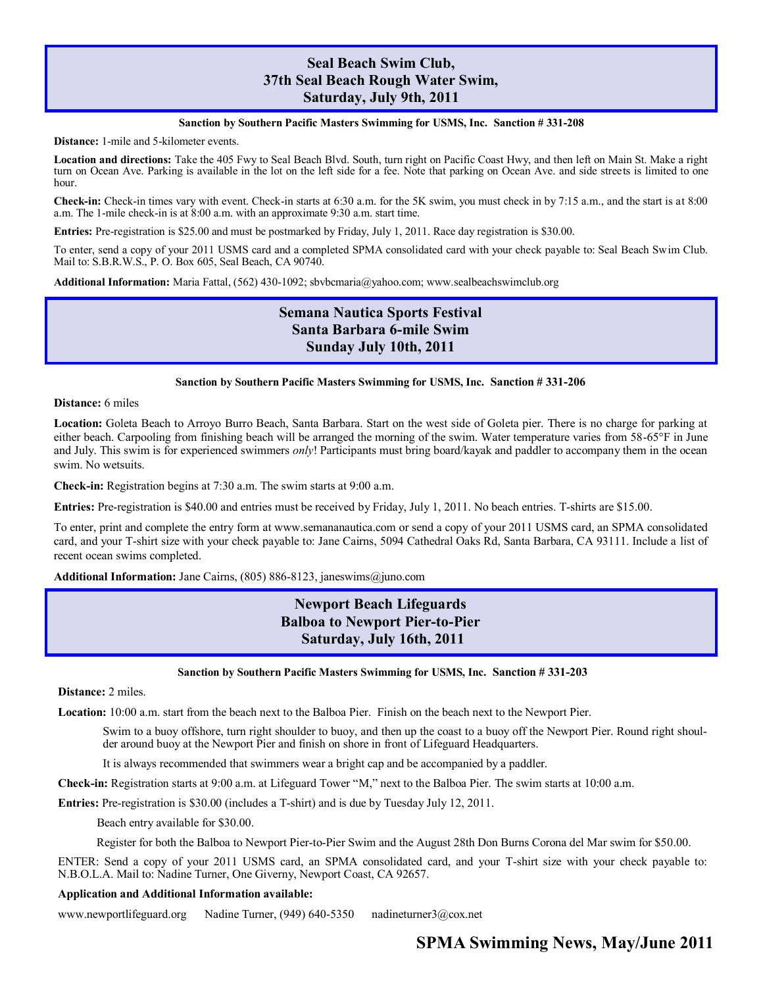### **Seal Beach Swim Club, 37th Seal Beach Rough Water Swim, Saturday, July 9th, 2011**

#### **Sanction by Southern Pacific Masters Swimming for USMS, Inc. Sanction # 331-208**

**Distance:** 1-mile and 5-kilometer events.

**Location and directions:** Take the 405 Fwy to Seal Beach Blvd. South, turn right on Pacific Coast Hwy, and then left on Main St. Make a right turn on Ocean Ave. Parking is available in the lot on the left side for a fee. Note that parking on Ocean Ave. and side streets is limited to one hour.

**Check-in:** Check-in times vary with event. Check-in starts at 6:30 a.m. for the 5K swim, you must check in by 7:15 a.m., and the start is at 8:00 a.m. The 1-mile check-in is at 8:00 a.m. with an approximate 9:30 a.m. start time.

**Entries:** Pre-registration is \$25.00 and must be postmarked by Friday, July 1, 2011. Race day registration is \$30.00.

To enter, send a copy of your 2011 USMS card and a completed SPMA consolidated card with your check payable to: Seal Beach Swim Club. Mail to: S.B.R.W.S., P. O. Box 605, Seal Beach, CA 90740.

**Additional Information:** Maria Fattal, (562) 430-1092; sbvbcmaria@yahoo.com; www.sealbeachswimclub.org

## **Semana Nautica Sports Festival Santa Barbara 6-mile Swim Sunday July 10th, 2011**

#### **Sanction by Southern Pacific Masters Swimming for USMS, Inc. Sanction # 331-206**

**Distance:** 6 miles

**Location:** Goleta Beach to Arroyo Burro Beach, Santa Barbara. Start on the west side of Goleta pier. There is no charge for parking at either beach. Carpooling from finishing beach will be arranged the morning of the swim. Water temperature varies from 58-65°F in June and July. This swim is for experienced swimmers *only*! Participants must bring board/kayak and paddler to accompany them in the ocean swim. No wetsuits.

**Check-in:** Registration begins at 7:30 a.m. The swim starts at 9:00 a.m.

**Entries:** Pre-registration is \$40.00 and entries must be received by Friday, July 1, 2011. No beach entries. T-shirts are \$15.00.

To enter, print and complete the entry form at www.semananautica.com or send a copy of your 2011 USMS card, an SPMA consolidated card, and your T-shirt size with your check payable to: Jane Cairns, 5094 Cathedral Oaks Rd, Santa Barbara, CA 93111. Include a list of recent ocean swims completed.

**Additional Information:** Jane Cairns, (805) 886-8123, janeswims@juno.com

## **Newport Beach Lifeguards Balboa to Newport Pier-to-Pier Saturday, July 16th, 2011**

#### **Sanction by Southern Pacific Masters Swimming for USMS, Inc. Sanction # 331-203**

**Distance:** 2 miles.

**Location:** 10:00 a.m. start from the beach next to the Balboa Pier. Finish on the beach next to the Newport Pier.

Swim to a buoy offshore, turn right shoulder to buoy, and then up the coast to a buoy off the Newport Pier. Round right shoulder around buoy at the Newport Pier and finish on shore in front of Lifeguard Headquarters.

It is always recommended that swimmers wear a bright cap and be accompanied by a paddler.

**Check-in:** Registration starts at 9:00 a.m. at Lifeguard Tower "M," next to the Balboa Pier. The swim starts at 10:00 a.m.

**Entries:** Pre-registration is \$30.00 (includes a T-shirt) and is due by Tuesday July 12, 2011.

Beach entry available for \$30.00.

Register for both the Balboa to Newport Pier-to-Pier Swim and the August 28th Don Burns Corona del Mar swim for \$50.00.

ENTER: Send a copy of your 2011 USMS card, an SPMA consolidated card, and your T-shirt size with your check payable to: N.B.O.L.A. Mail to: Nadine Turner, One Giverny, Newport Coast, CA 92657.

#### **Application and Additional Information available:**

[www.newportlifeguard.org](http://www.newportlifeguard.org) Nadine Turner, (949) 640-5350 [nadineturner3@cox.net](mailto:nadineturner3@cox.net)

## **SPMA Swimming News, May/June 2011**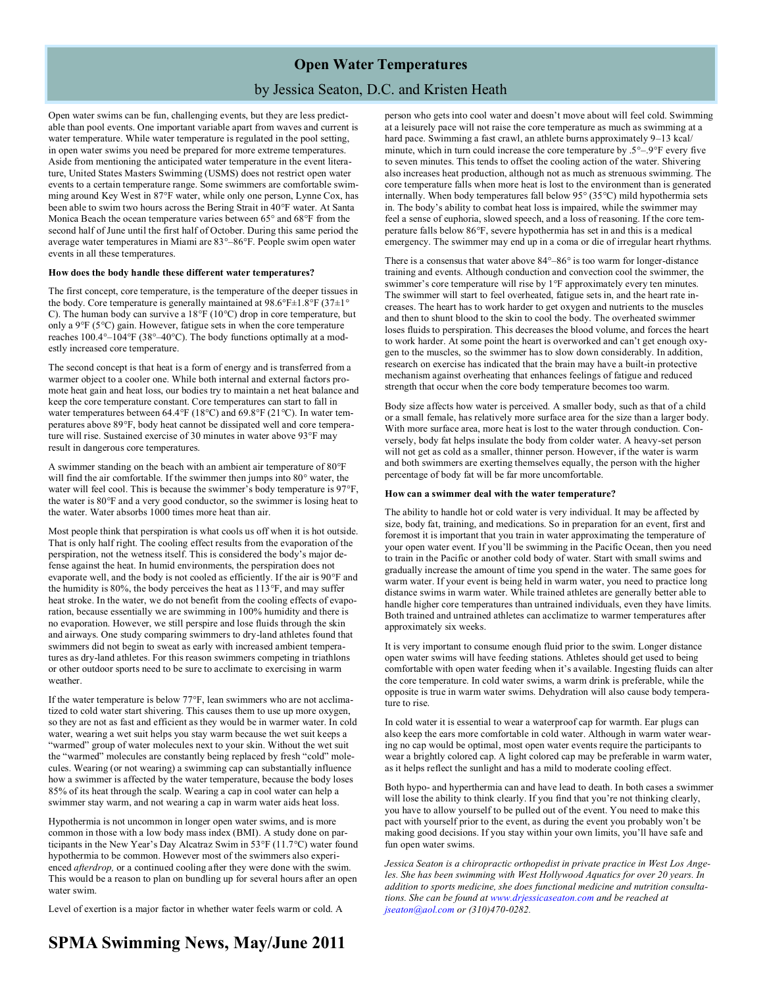## **Open Water Temperatures** by Jessica Seaton, D.C. and Kristen Heath

Open water swims can be fun, challenging events, but they are less predictable than pool events. One important variable apart from waves and current is water temperature. While water temperature is regulated in the pool setting, in open water swims you need be prepared for more extreme temperatures. Aside from mentioning the anticipated water temperature in the event literature, United States Masters Swimming (USMS) does not restrict open water events to a certain temperature range. Some swimmers are comfortable swimming around Key West in 87°F water, while only one person, Lynne Cox, has been able to swim two hours across the Bering Strait in 40°F water. At Santa Monica Beach the ocean temperature varies between 65° and 68°F from the second half of June until the first half of October. During this same period the average water temperatures in Miami are 83°–86°F. People swim open water events in all these temperatures.

#### **How does the body handle these different water temperatures?**

The first concept, core temperature, is the temperature of the deeper tissues in the body. Core temperature is generally maintained at  $98.6^{\circ}$ F $\pm$ 1.8°F (37 $\pm$ 1° C). The human body can survive a 18°F (10°C) drop in core temperature, but only a 9°F (5°C) gain. However, fatigue sets in when the core temperature reaches 100.4°–104°F (38°–40°C). The body functions optimally at a modestly increased core temperature.

The second concept is that heat is a form of energy and is transferred from a warmer object to a cooler one. While both internal and external factors promote heat gain and heat loss, our bodies try to maintain a net heat balance and keep the core temperature constant. Core temperatures can start to fall in water temperatures between 64.4°F (18°C) and 69.8°F (21°C). In water temperatures above 89°F, body heat cannot be dissipated well and core temperature will rise. Sustained exercise of 30 minutes in water above 93°F may result in dangerous core temperatures.

A swimmer standing on the beach with an ambient air temperature of 80°F will find the air comfortable. If the swimmer then jumps into 80° water, the water will feel cool. This is because the swimmer's body temperature is 97°F, the water is 80°F and a very good conductor, so the swimmer is losing heat to the water. Water absorbs 1000 times more heat than air.

Most people think that perspiration is what cools us off when it is hot outside. That is only half right. The cooling effect results from the evaporation of the perspiration, not the wetness itself. This is considered the body's major defense against the heat. In humid environments, the perspiration does not evaporate well, and the body is not cooled as efficiently. If the air is 90°F and the humidity is 80%, the body perceives the heat as 113°F, and may suffer heat stroke. In the water, we do not benefit from the cooling effects of evaporation, because essentially we are swimming in 100% humidity and there is no evaporation. However, we still perspire and lose fluids through the skin and airways. One study comparing swimmers to dry-land athletes found that swimmers did not begin to sweat as early with increased ambient temperatures as dry-land athletes. For this reason swimmers competing in triathlons or other outdoor sports need to be sure to acclimate to exercising in warm weather.

If the water temperature is below 77°F, lean swimmers who are not acclimatized to cold water start shivering. This causes them to use up more oxygen, so they are not as fast and efficient as they would be in warmer water. In cold water, wearing a wet suit helps you stay warm because the wet suit keeps a "warmed" group of water molecules next to your skin. Without the wet suit the "warmed" molecules are constantly being replaced by fresh "cold" molecules. Wearing (or not wearing) a swimming cap can substantially influence how a swimmer is affected by the water temperature, because the body loses 85% of its heat through the scalp. Wearing a cap in cool water can help a swimmer stay warm, and not wearing a cap in warm water aids heat loss.

Hypothermia is not uncommon in longer open water swims, and is more common in those with a low body mass index (BMI). A study done on participants in the New Year's Day Alcatraz Swim in 53°F (11.7°C) water found hypothermia to be common. However most of the swimmers also experienced *afterdrop,* or a continued cooling after they were done with the swim. This would be a reason to plan on bundling up for several hours after an open water swim.

Level of exertion is a major factor in whether water feels warm or cold. A

person who gets into cool water and doesn't move about will feel cold. Swimming at a leisurely pace will not raise the core temperature as much as swimming at a hard pace. Swimming a fast crawl, an athlete burns approximately 9–13 kcal/ minute, which in turn could increase the core temperature by .5°–.9°F every five to seven minutes. This tends to offset the cooling action of the water. Shivering also increases heat production, although not as much as strenuous swimming. The core temperature falls when more heat is lost to the environment than is generated internally. When body temperatures fall below 95° (35°C) mild hypothermia sets in. The body's ability to combat heat loss is impaired, while the swimmer may feel a sense of euphoria, slowed speech, and a loss of reasoning. If the core temperature falls below 86°F, severe hypothermia has set in and this is a medical emergency. The swimmer may end up in a coma or die of irregular heart rhythms.

There is a consensus that water above 84°–86° is too warm for longer-distance training and events. Although conduction and convection cool the swimmer, the swimmer's core temperature will rise by 1°F approximately every ten minutes. The swimmer will start to feel overheated, fatigue sets in, and the heart rate increases. The heart has to work harder to get oxygen and nutrients to the muscles and then to shunt blood to the skin to cool the body. The overheated swimmer loses fluids to perspiration. This decreases the blood volume, and forces the heart to work harder. At some point the heart is overworked and can't get enough oxygen to the muscles, so the swimmer has to slow down considerably. In addition, research on exercise has indicated that the brain may have a built-in protective mechanism against overheating that enhances feelings of fatigue and reduced strength that occur when the core body temperature becomes too warm.

Body size affects how water is perceived. A smaller body, such as that of a child or a small female, has relatively more surface area for the size than a larger body. With more surface area, more heat is lost to the water through conduction. Conversely, body fat helps insulate the body from colder water. A heavy-set person will not get as cold as a smaller, thinner person. However, if the water is warm and both swimmers are exerting themselves equally, the person with the higher percentage of body fat will be far more uncomfortable.

#### **How can a swimmer deal with the water temperature?**

The ability to handle hot or cold water is very individual. It may be affected by size, body fat, training, and medications. So in preparation for an event, first and foremost it is important that you train in water approximating the temperature of your open water event. If you'll be swimming in the Pacific Ocean, then you need to train in the Pacific or another cold body of water. Start with small swims and gradually increase the amount of time you spend in the water. The same goes for warm water. If your event is being held in warm water, you need to practice long distance swims in warm water. While trained athletes are generally better able to handle higher core temperatures than untrained individuals, even they have limits. Both trained and untrained athletes can acclimatize to warmer temperatures after approximately six weeks.

It is very important to consume enough fluid prior to the swim. Longer distance open water swims will have feeding stations. Athletes should get used to being comfortable with open water feeding when it's available. Ingesting fluids can alter the core temperature. In cold water swims, a warm drink is preferable, while the opposite is true in warm water swims. Dehydration will also cause body temperature to rise.

In cold water it is essential to wear a waterproof cap for warmth. Ear plugs can also keep the ears more comfortable in cold water. Although in warm water wearing no cap would be optimal, most open water events require the participants to wear a brightly colored cap. A light colored cap may be preferable in warm water, as it helps reflect the sunlight and has a mild to moderate cooling effect.

Both hypo- and hyperthermia can and have lead to death. In both cases a swimmer will lose the ability to think clearly. If you find that you're not thinking clearly, you have to allow yourself to be pulled out of the event. You need to make this pact with yourself prior to the event, as during the event you probably won't be making good decisions. If you stay within your own limits, you'll have safe and fun open water swims.

*Jessica Seaton is a chiropractic orthopedist in private practice in West Los Angeles. She has been swimming with West Hollywood Aquatics for over 20 years. In addition to sports medicine, she does functional medicine and nutrition consultations. She can be found at [www.drjessicaseaton.com](http://www.drjessicaseaton.com) and be reached at [jseaton@aol.com](mailto:jseaton@aol.com) or (310)470-0282.* 

## **SPMA Swimming News, May/June 2011**